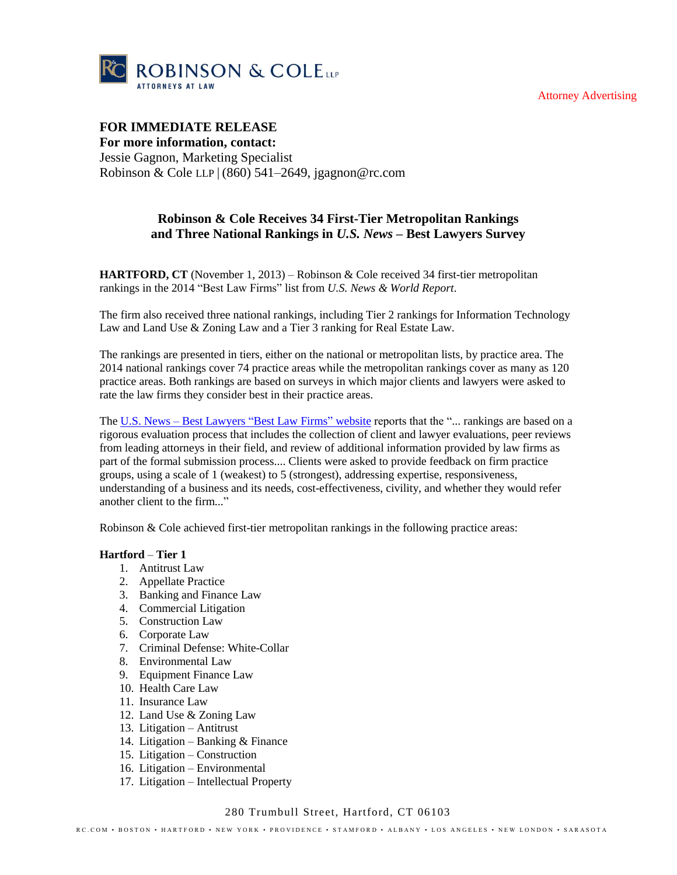Attorney Advertising



## **FOR IMMEDIATE RELEASE For more information, contact:**

Jessie Gagnon, Marketing Specialist Robinson & Cole LLP | (860) 541–2649, jgagnon@rc.com

# **Robinson & Cole Receives 34 First-Tier Metropolitan Rankings and Three National Rankings in** *U.S. News* **– Best Lawyers Survey**

**HARTFORD, CT** (November 1, 2013) – Robinson & Cole received 34 first-tier metropolitan rankings in the 2014 "Best Law Firms" list from *U.S. News & World Report*.

The firm also received three national rankings, including Tier 2 rankings for Information Technology Law and Land Use & Zoning Law and a Tier 3 ranking for Real Estate Law.

The rankings are presented in tiers, either on the national or metropolitan lists, by practice area. The 2014 national rankings cover 74 practice areas while the metropolitan rankings cover as many as 120 practice areas. Both rankings are based on surveys in which major clients and lawyers were asked to rate the law firms they consider best in their practice areas.

The U.S. News – [Best Lawyers "Best Law Firms"](http://bestlawfirms.usnews.com/methodology.aspx) website reports that the "... rankings are based on a rigorous evaluation process that includes the collection of client and lawyer evaluations, peer reviews from leading attorneys in their field, and review of additional information provided by law firms as part of the formal submission process.... Clients were asked to provide feedback on firm practice groups, using a scale of 1 (weakest) to 5 (strongest), addressing expertise, responsiveness, understanding of a business and its needs, cost-effectiveness, civility, and whether they would refer another client to the firm..."

Robinson & Cole achieved first-tier metropolitan rankings in the following practice areas:

## **Hartford** – **Tier 1**

- 1. Antitrust Law
- 2. Appellate Practice
- 3. Banking and Finance Law
- 4. Commercial Litigation
- 5. Construction Law
- 6. Corporate Law
- 7. Criminal Defense: White-Collar
- 8. Environmental Law
- 9. Equipment Finance Law
- 10. Health Care Law
- 11 Insurance Law
- 12. Land Use & Zoning Law
- 13. Litigation Antitrust
- 14. Litigation Banking & Finance
- 15. Litigation Construction
- 16. Litigation Environmental
- 17. Litigation Intellectual Property

#### 280 Trumbull Street, Hartford, CT 06103